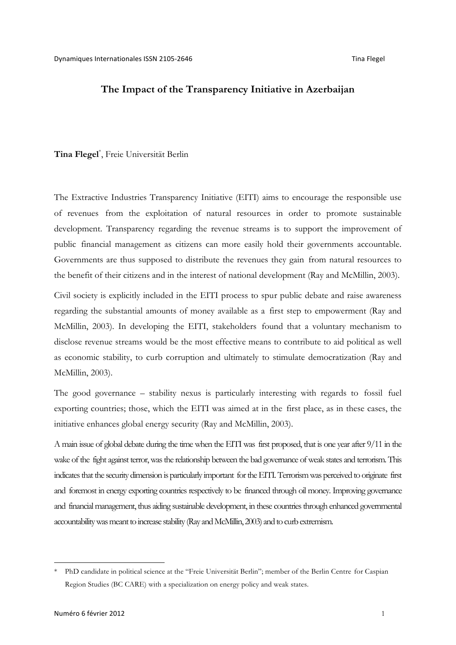### **The Impact of the Transparency Initiative in Azerbaijan**

# **Tina Flegel**\* , Freie Universität Berlin

The Extractive Industries Transparency Initiative (EITI) aims to encourage the responsible use of revenues from the exploitation of natural resources in order to promote sustainable development. Transparency regarding the revenue streams is to support the improvement of public financial management as citizens can more easily hold their governments accountable. Governments are thus supposed to distribute the revenues they gain from natural resources to the benefit of their citizens and in the interest of national development (Ray and McMillin, 2003).

Civil society is explicitly included in the EITI process to spur public debate and raise awareness regarding the substantial amounts of money available as a first step to empowerment (Ray and McMillin, 2003). In developing the EITI, stakeholders found that a voluntary mechanism to disclose revenue streams would be the most effective means to contribute to aid political as well as economic stability, to curb corruption and ultimately to stimulate democratization (Ray and McMillin, 2003).

The good governance – stability nexus is particularly interesting with regards to fossil fuel exporting countries; those, which the EITI was aimed at in the first place, as in these cases, the initiative enhances global energy security (Ray and McMillin, 2003).

A main issue of global debate during the time when the EITI was first proposed, that is one year after 9/11 in the wake of the fight against terror, was the relationship between the bad governance of weak states and terrorism. This indicates that the security dimension is particularly important for the EITI. Terrorism was perceived to originate first and foremost in energy exporting countries respectively to be financed through oil money. Improving governance and financial management, thus aiding sustainable development, in these countries through enhanced governmental accountability was meant to increase stability (Ray and McMillin, 2003) and to curb extremism.

 <sup>\*</sup> PhD candidate in political science at the "Freie Universität Berlin"; member of the Berlin Centre for Caspian Region Studies (BC CARE) with a specialization on energy policy and weak states.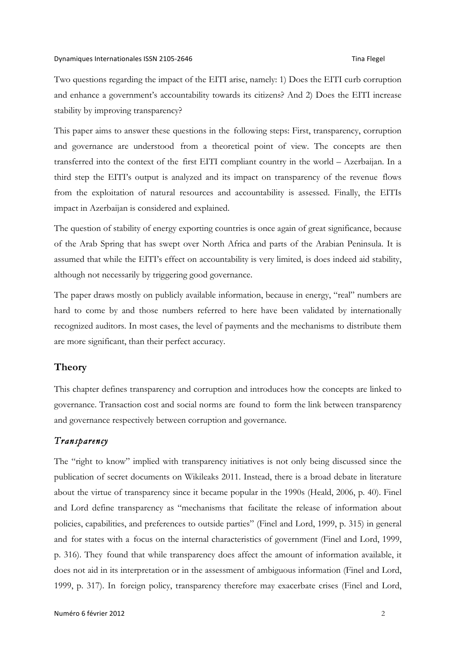Two questions regarding the impact of the EITI arise, namely: 1) Does the EITI curb corruption and enhance a government's accountability towards its citizens? And 2) Does the EITI increase stability by improving transparency?

This paper aims to answer these questions in the following steps: First, transparency, corruption and governance are understood from a theoretical point of view. The concepts are then transferred into the context of the first EITI compliant country in the world – Azerbaijan. In a third step the EITI's output is analyzed and its impact on transparency of the revenue flows from the exploitation of natural resources and accountability is assessed. Finally, the EITIs impact in Azerbaijan is considered and explained.

The question of stability of energy exporting countries is once again of great significance, because of the Arab Spring that has swept over North Africa and parts of the Arabian Peninsula. It is assumed that while the EITI's effect on accountability is very limited, is does indeed aid stability, although not necessarily by triggering good governance.

The paper draws mostly on publicly available information, because in energy, "real" numbers are hard to come by and those numbers referred to here have been validated by internationally recognized auditors. In most cases, the level of payments and the mechanisms to distribute them are more significant, than their perfect accuracy.

# **Theory**

This chapter defines transparency and corruption and introduces how the concepts are linked to governance. Transaction cost and social norms are found to form the link between transparency and governance respectively between corruption and governance.

# *Transparency*

The "right to know" implied with transparency initiatives is not only being discussed since the publication of secret documents on Wikileaks 2011. Instead, there is a broad debate in literature about the virtue of transparency since it became popular in the 1990s (Heald, 2006, p. 40). Finel and Lord define transparency as "mechanisms that facilitate the release of information about policies, capabilities, and preferences to outside parties" (Finel and Lord, 1999, p. 315) in general and for states with a focus on the internal characteristics of government (Finel and Lord, 1999, p. 316). They found that while transparency does affect the amount of information available, it does not aid in its interpretation or in the assessment of ambiguous information (Finel and Lord, 1999, p. 317). In foreign policy, transparency therefore may exacerbate crises (Finel and Lord,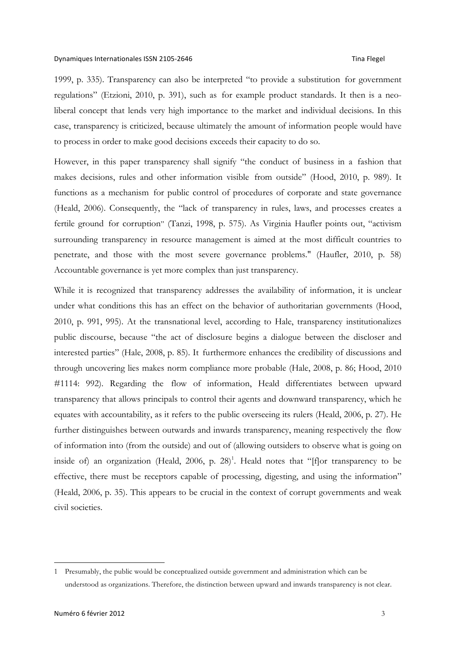1999, p. 335). Transparency can also be interpreted "to provide a substitution for government regulations" (Etzioni, 2010, p. 391), such as for example product standards. It then is a neoliberal concept that lends very high importance to the market and individual decisions. In this case, transparency is criticized, because ultimately the amount of information people would have to process in order to make good decisions exceeds their capacity to do so.

However, in this paper transparency shall signify "the conduct of business in a fashion that makes decisions, rules and other information visible from outside" (Hood, 2010, p. 989). It functions as a mechanism for public control of procedures of corporate and state governance (Heald, 2006). Consequently, the "lack of transparency in rules, laws, and processes creates a fertile ground for corruption" (Tanzi, 1998, p. 575). As Virginia Haufler points out, "activism surrounding transparency in resource management is aimed at the most difficult countries to penetrate, and those with the most severe governance problems." (Haufler, 2010, p. 58) Accountable governance is yet more complex than just transparency.

While it is recognized that transparency addresses the availability of information, it is unclear under what conditions this has an effect on the behavior of authoritarian governments (Hood, 2010, p. 991, 995). At the transnational level, according to Hale, transparency institutionalizes public discourse, because "the act of disclosure begins a dialogue between the discloser and interested parties" (Hale, 2008, p. 85). It furthermore enhances the credibility of discussions and through uncovering lies makes norm compliance more probable (Hale, 2008, p. 86; Hood, 2010 #1114: 992). Regarding the flow of information, Heald differentiates between upward transparency that allows principals to control their agents and downward transparency, which he equates with accountability, as it refers to the public overseeing its rulers (Heald, 2006, p. 27). He further distinguishes between outwards and inwards transparency, meaning respectively the flow of information into (from the outside) and out of (allowing outsiders to observe what is going on inside of) an organization (Heald, 2006, p. 28)<sup>1</sup>. Heald notes that "[f]or transparency to be effective, there must be receptors capable of processing, digesting, and using the information" (Heald, 2006, p. 35). This appears to be crucial in the context of corrupt governments and weak civil societies.

 <sup>1</sup> Presumably, the public would be conceptualized outside government and administration which can be understood as organizations. Therefore, the distinction between upward and inwards transparency is not clear.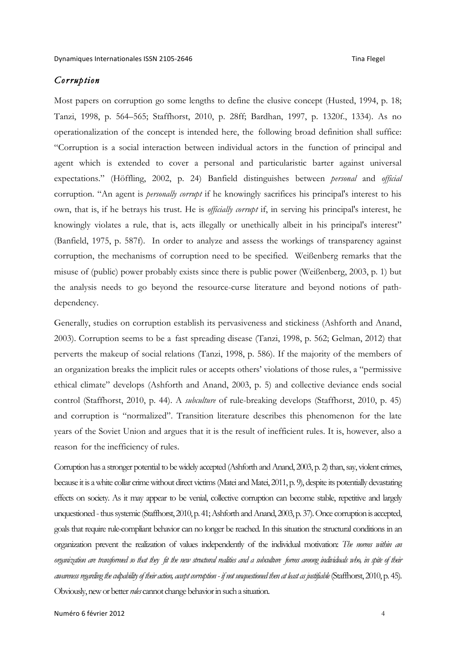# *Corruption*

Most papers on corruption go some lengths to define the elusive concept (Husted, 1994, p. 18; Tanzi, 1998, p. 564–565; Staffhorst, 2010, p. 28ff; Bardhan, 1997, p. 1320f., 1334). As no operationalization of the concept is intended here, the following broad definition shall suffice: "Corruption is a social interaction between individual actors in the function of principal and agent which is extended to cover a personal and particularistic barter against universal expectations." (Höffling, 2002, p. 24) Banfield distinguishes between *personal* and *official* corruption. "An agent is *personally corrupt* if he knowingly sacrifices his principal's interest to his own, that is, if he betrays his trust. He is *officially corrupt* if, in serving his principal's interest, he knowingly violates a rule, that is, acts illegally or unethically albeit in his principal's interest" (Banfield, 1975, p. 587f). In order to analyze and assess the workings of transparency against corruption, the mechanisms of corruption need to be specified. Weißenberg remarks that the misuse of (public) power probably exists since there is public power (Weißenberg, 2003, p. 1) but the analysis needs to go beyond the resource-curse literature and beyond notions of pathdependency.

Generally, studies on corruption establish its pervasiveness and stickiness (Ashforth and Anand, 2003). Corruption seems to be a fast spreading disease (Tanzi, 1998, p. 562; Gelman, 2012) that perverts the makeup of social relations (Tanzi, 1998, p. 586). If the majority of the members of an organization breaks the implicit rules or accepts others' violations of those rules, a "permissive ethical climate" develops (Ashforth and Anand, 2003, p. 5) and collective deviance ends social control (Staffhorst, 2010, p. 44). A *subculture* of rule-breaking develops (Staffhorst, 2010, p. 45) and corruption is "normalized". Transition literature describes this phenomenon for the late years of the Soviet Union and argues that it is the result of inefficient rules. It is, however, also a reason for the inefficiency of rules.

Corruption has a stronger potential to be widely accepted (Ashforth and Anand, 2003, p. 2) than, say, violent crimes, because it is a white collar crime without direct victims (Matei and Matei, 2011, p. 9), despite its potentially devastating effects on society. As it may appear to be venial, collective corruption can become stable, repetitive and largely unquestioned - thus systemic (Staffhorst, 2010, p. 41; Ashforth and Anand, 2003, p. 37). Once corruption is accepted, goals that require rule-compliant behavior can no longer be reached. In this situation the structural conditions in an organization prevent the realization of values independently of the individual motivation: *The norms within an organization are transformed so that they fit the new structural realities and a subculture forms among individuals who, in spite of their awareness regarding the culpability of their action, accept corruption - if not unquestioned then at least as justifiable*(Staffhorst, 2010, p. 45). Obviously, new or better *rules* cannot change behavior in such a situation.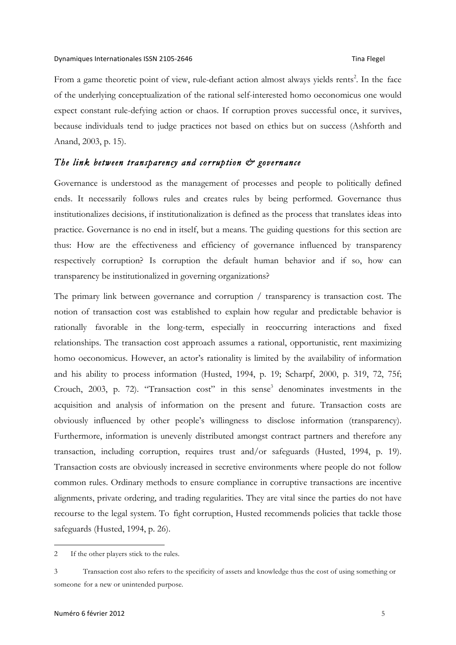From a game theoretic point of view, rule-defiant action almost always yields rents<sup>2</sup>. In the face of the underlying conceptualization of the rational self-interested homo oeconomicus one would expect constant rule-defying action or chaos. If corruption proves successful once, it survives, because individuals tend to judge practices not based on ethics but on success (Ashforth and Anand, 2003, p. 15).

### *The link between transparency and corruption & governance*

Governance is understood as the management of processes and people to politically defined ends. It necessarily follows rules and creates rules by being performed. Governance thus institutionalizes decisions, if institutionalization is defined as the process that translates ideas into practice. Governance is no end in itself, but a means. The guiding questions for this section are thus: How are the effectiveness and efficiency of governance influenced by transparency respectively corruption? Is corruption the default human behavior and if so, how can transparency be institutionalized in governing organizations?

The primary link between governance and corruption / transparency is transaction cost. The notion of transaction cost was established to explain how regular and predictable behavior is rationally favorable in the long-term, especially in reoccurring interactions and fixed relationships. The transaction cost approach assumes a rational, opportunistic, rent maximizing homo oeconomicus. However, an actor's rationality is limited by the availability of information and his ability to process information (Husted, 1994, p. 19; Scharpf, 2000, p. 319, 72, 75f; Crouch, 2003, p. 72). "Transaction cost" in this sense $3$  denominates investments in the acquisition and analysis of information on the present and future. Transaction costs are obviously influenced by other people's willingness to disclose information (transparency). Furthermore, information is unevenly distributed amongst contract partners and therefore any transaction, including corruption, requires trust and/or safeguards (Husted, 1994, p. 19). Transaction costs are obviously increased in secretive environments where people do not follow common rules. Ordinary methods to ensure compliance in corruptive transactions are incentive alignments, private ordering, and trading regularities. They are vital since the parties do not have recourse to the legal system. To fight corruption, Husted recommends policies that tackle those safeguards (Husted, 1994, p. 26).

 $\overline{a}$ 

<sup>2</sup> If the other players stick to the rules.

<sup>3</sup> Transaction cost also refers to the specificity of assets and knowledge thus the cost of using something or someone for a new or unintended purpose.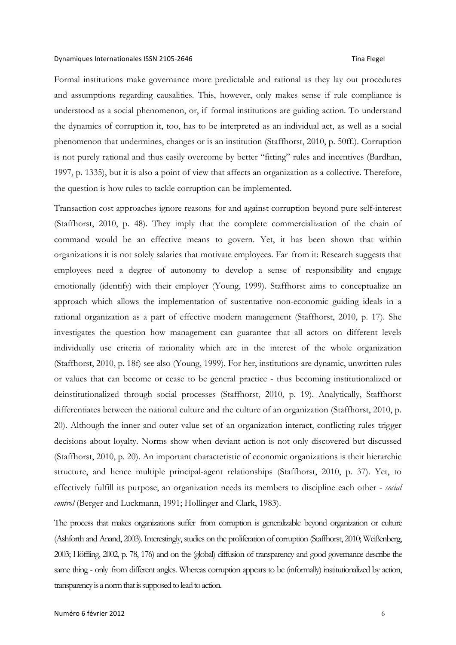Formal institutions make governance more predictable and rational as they lay out procedures and assumptions regarding causalities. This, however, only makes sense if rule compliance is understood as a social phenomenon, or, if formal institutions are guiding action. To understand the dynamics of corruption it, too, has to be interpreted as an individual act, as well as a social phenomenon that undermines, changes or is an institution (Staffhorst, 2010, p. 50ff.). Corruption is not purely rational and thus easily overcome by better "fitting" rules and incentives (Bardhan, 1997, p. 1335), but it is also a point of view that affects an organization as a collective. Therefore, the question is how rules to tackle corruption can be implemented.

Transaction cost approaches ignore reasons for and against corruption beyond pure self-interest (Staffhorst, 2010, p. 48). They imply that the complete commercialization of the chain of command would be an effective means to govern. Yet, it has been shown that within organizations it is not solely salaries that motivate employees. Far from it: Research suggests that employees need a degree of autonomy to develop a sense of responsibility and engage emotionally (identify) with their employer (Young, 1999). Staffhorst aims to conceptualize an approach which allows the implementation of sustentative non-economic guiding ideals in a rational organization as a part of effective modern management (Staffhorst, 2010, p. 17). She investigates the question how management can guarantee that all actors on different levels individually use criteria of rationality which are in the interest of the whole organization (Staffhorst, 2010, p. 18f) see also (Young, 1999). For her, institutions are dynamic, unwritten rules or values that can become or cease to be general practice - thus becoming institutionalized or deinstitutionalized through social processes (Staffhorst, 2010, p. 19). Analytically, Staffhorst differentiates between the national culture and the culture of an organization (Staffhorst, 2010, p. 20). Although the inner and outer value set of an organization interact, conflicting rules trigger decisions about loyalty. Norms show when deviant action is not only discovered but discussed (Staffhorst, 2010, p. 20). An important characteristic of economic organizations is their hierarchic structure, and hence multiple principal-agent relationships (Staffhorst, 2010, p. 37). Yet, to effectively fulfill its purpose, an organization needs its members to discipline each other - *social control* (Berger and Luckmann, 1991; Hollinger and Clark, 1983).

The process that makes organizations suffer from corruption is generalizable beyond organization or culture (Ashforth and Anand, 2003). Interestingly, studies on the proliferation of corruption (Staffhorst, 2010; Weißenberg, 2003; Höffling, 2002, p. 78, 176) and on the (global) diffusion of transparency and good governance describe the same thing - only from different angles. Whereas corruption appears to be (informally) institutionalized by action, transparency is a norm that is supposed to lead to action.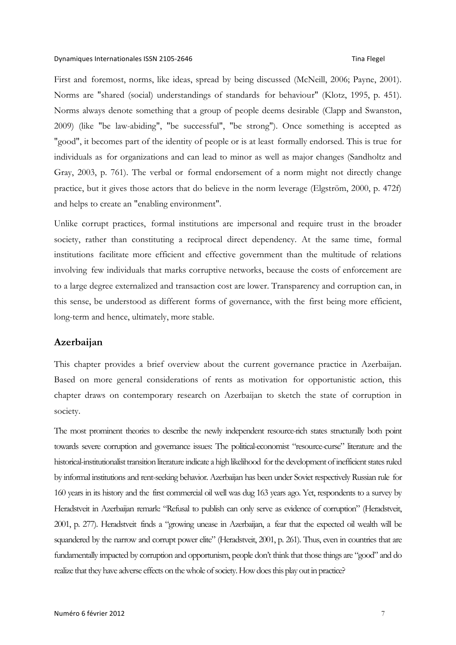First and foremost, norms, like ideas, spread by being discussed (McNeill, 2006; Payne, 2001). Norms are "shared (social) understandings of standards for behaviour" (Klotz, 1995, p. 451). Norms always denote something that a group of people deems desirable (Clapp and Swanston, 2009) (like "be law-abiding", "be successful", "be strong"). Once something is accepted as "good", it becomes part of the identity of people or is at least formally endorsed. This is true for individuals as for organizations and can lead to minor as well as major changes (Sandholtz and Gray, 2003, p. 761). The verbal or formal endorsement of a norm might not directly change practice, but it gives those actors that do believe in the norm leverage (Elgström, 2000, p. 472f) and helps to create an "enabling environment".

Unlike corrupt practices, formal institutions are impersonal and require trust in the broader society, rather than constituting a reciprocal direct dependency. At the same time, formal institutions facilitate more efficient and effective government than the multitude of relations involving few individuals that marks corruptive networks, because the costs of enforcement are to a large degree externalized and transaction cost are lower. Transparency and corruption can, in this sense, be understood as different forms of governance, with the first being more efficient, long-term and hence, ultimately, more stable.

## **Azerbaijan**

This chapter provides a brief overview about the current governance practice in Azerbaijan. Based on more general considerations of rents as motivation for opportunistic action, this chapter draws on contemporary research on Azerbaijan to sketch the state of corruption in society.

The most prominent theories to describe the newly independent resource-rich states structurally both point towards severe corruption and governance issues: The political-economist "resource-curse" literature and the historical-institutionalist transition literature indicate a high likelihood for the development of inefficient states ruled by informal institutions and rent-seeking behavior. Azerbaijan has been under Soviet respectively Russian rule for 160 years in its history and the first commercial oil well was dug 163 years ago. Yet, respondents to a survey by Heradstveit in Azerbaijan remark: "Refusal to publish can only serve as evidence of corruption" (Heradstveit, 2001, p. 277). Heradstveit finds a "growing unease in Azerbaijan, a fear that the expected oil wealth will be squandered by the narrow and corrupt power elite" (Heradstveit, 2001, p. 261). Thus, even in countries that are fundamentally impacted by corruption and opportunism, people don't think that those things are "good" and do realize that they have adverse effects on the whole of society. How does this play out in practice?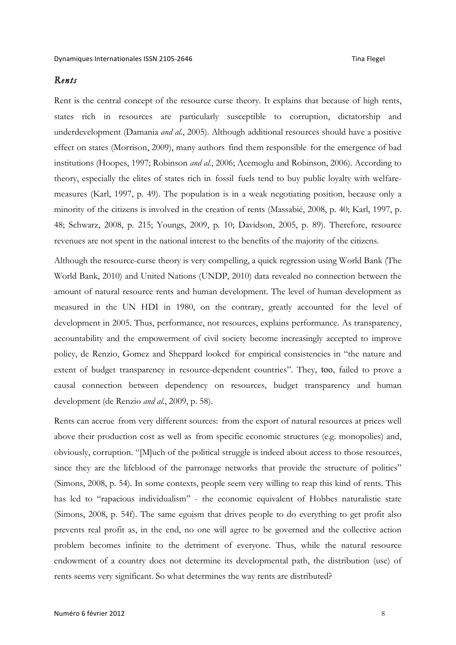## *Rents*

Rent is the central concept of the resource curse theory. It explains that because of high rents, states rich in resources are particularly susceptible to corruption, dictatorship and underdevelopment (Damania *and al.*, 2005). Although additional resources should have a positive effect on states (Morrison, 2009), many authors find them responsible for the emergence of bad institutions (Hoopes, 1997; Robinson *and al.*, 2006; Acemoglu and Robinson, 2006). According to theory, especially the elites of states rich in fossil fuels tend to buy public loyalty with welfaremeasures (Karl, 1997, p. 49). The population is in a weak negotiating position, because only a minority of the citizens is involved in the creation of rents (Massabié, 2008, p. 40; Karl, 1997, p. 48; Schwarz, 2008, p. 215; Youngs, 2009, p. 10; Davidson, 2005, p. 89). Therefore, resource revenues are not spent in the national interest to the benefits of the majority of the citizens.

Although the resource-curse theory is very compelling, a quick regression using World Bank (The World Bank, 2010) and United Nations (UNDP, 2010) data revealed no connection between the amount of natural resource rents and human development. The level of human development as measured in the UN HDI in 1980, on the contrary, greatly accounted for the level of development in 2005. Thus, performance, not resources, explains performance. As transparency, accountability and the empowerment of civil society become increasingly accepted to improve policy, de Renzio, Gomez and Sheppard looked for empirical consistencies in "the nature and extent of budget transparency in resource-dependent countries". They, too, failed to prove a causal connection between dependency on resources, budget transparency and human development (de Renzio *and al.*, 2009, p. 58).

Rents can accrue from very different sources: from the export of natural resources at prices well above their production cost as well as from specific economic structures (e.g. monopolies) and, obviously, corruption. "[M]uch of the political struggle is indeed about access to those resources, since they are the lifeblood of the patronage networks that provide the structure of politics" (Simons, 2008, p. 54). In some contexts, people seem very willing to reap this kind of rents. This has led to "rapacious individualism" - the economic equivalent of Hobbes naturalistic state (Simons, 2008, p. 54f). The same egoism that drives people to do everything to get profit also prevents real profit as, in the end, no one will agree to be governed and the collective action problem becomes infinite to the detriment of everyone. Thus, while the natural resource endowment of a country does not determine its developmental path, the distribution (use) of rents seems very significant. So what determines the way rents are distributed?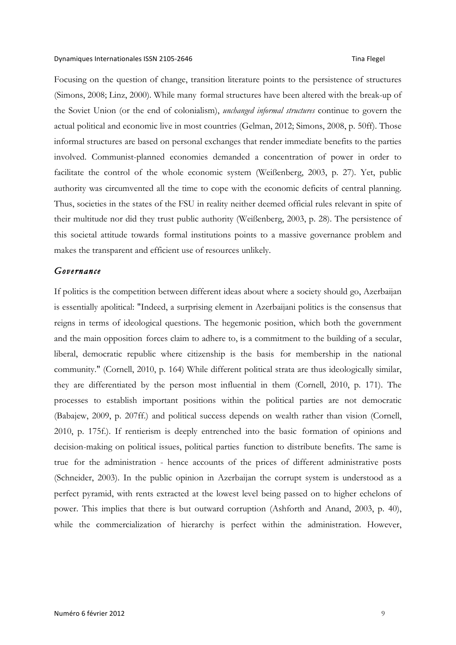Focusing on the question of change, transition literature points to the persistence of structures (Simons, 2008; Linz, 2000). While many formal structures have been altered with the break-up of the Soviet Union (or the end of colonialism), *unchanged informal structures* continue to govern the actual political and economic live in most countries (Gelman, 2012; Simons, 2008, p. 50ff). Those informal structures are based on personal exchanges that render immediate benefits to the parties involved. Communist-planned economies demanded a concentration of power in order to facilitate the control of the whole economic system (Weißenberg, 2003, p. 27). Yet, public authority was circumvented all the time to cope with the economic deficits of central planning. Thus, societies in the states of the FSU in reality neither deemed official rules relevant in spite of their multitude nor did they trust public authority (Weißenberg, 2003, p. 28). The persistence of this societal attitude towards formal institutions points to a massive governance problem and makes the transparent and efficient use of resources unlikely.

### *Governance*

If politics is the competition between different ideas about where a society should go, Azerbaijan is essentially apolitical: "Indeed, a surprising element in Azerbaijani politics is the consensus that reigns in terms of ideological questions. The hegemonic position, which both the government and the main opposition forces claim to adhere to, is a commitment to the building of a secular, liberal, democratic republic where citizenship is the basis for membership in the national community." (Cornell, 2010, p. 164) While different political strata are thus ideologically similar, they are differentiated by the person most influential in them (Cornell, 2010, p. 171). The processes to establish important positions within the political parties are not democratic (Babajew, 2009, p. 207ff.) and political success depends on wealth rather than vision (Cornell, 2010, p. 175f.). If rentierism is deeply entrenched into the basic formation of opinions and decision-making on political issues, political parties function to distribute benefits. The same is true for the administration - hence accounts of the prices of different administrative posts (Schneider, 2003). In the public opinion in Azerbaijan the corrupt system is understood as a perfect pyramid, with rents extracted at the lowest level being passed on to higher echelons of power. This implies that there is but outward corruption (Ashforth and Anand, 2003, p. 40), while the commercialization of hierarchy is perfect within the administration. However,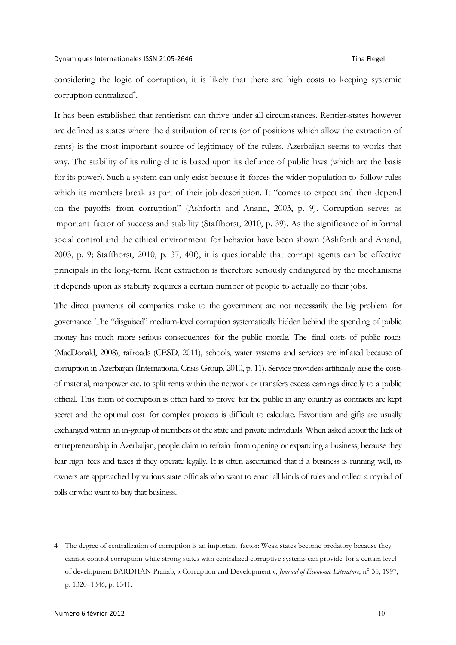### Dynamiques+Internationales+ISSN+210572646 Tina+Flegel+++++++++++++++++++++++++++++++++++++++++++

considering the logic of corruption, it is likely that there are high costs to keeping systemic corruption centralized<sup>4</sup>.

It has been established that rentierism can thrive under all circumstances. Rentier-states however are defined as states where the distribution of rents (or of positions which allow the extraction of rents) is the most important source of legitimacy of the rulers. Azerbaijan seems to works that way. The stability of its ruling elite is based upon its defiance of public laws (which are the basis for its power). Such a system can only exist because it forces the wider population to follow rules which its members break as part of their job description. It "comes to expect and then depend on the payoffs from corruption" (Ashforth and Anand, 2003, p. 9). Corruption serves as important factor of success and stability (Staffhorst, 2010, p. 39). As the significance of informal social control and the ethical environment for behavior have been shown (Ashforth and Anand, 2003, p. 9; Staffhorst, 2010, p. 37, 40f), it is questionable that corrupt agents can be effective principals in the long-term. Rent extraction is therefore seriously endangered by the mechanisms it depends upon as stability requires a certain number of people to actually do their jobs.

The direct payments oil companies make to the government are not necessarily the big problem for governance. The "disguised" medium-level corruption systematically hidden behind the spending of public money has much more serious consequences for the public morale. The final costs of public roads (MacDonald, 2008), railroads (CESD, 2011), schools, water systems and services are inflated because of corruption in Azerbaijan (International Crisis Group, 2010, p. 11). Service providers artificially raise the costs of material, manpower etc. to split rents within the network or transfers excess earnings directly to a public official. This form of corruption is often hard to prove for the public in any country as contracts are kept secret and the optimal cost for complex projects is difficult to calculate. Favoritism and gifts are usually exchanged within an in-group of members of the state and private individuals. When asked about the lack of entrepreneurship in Azerbaijan, people claim to refrain from opening or expanding a business, because they fear high fees and taxes if they operate legally. It is often ascertained that if a business is running well, its owners are approached by various state officials who want to enact all kinds of rules and collect a myriad of tolls or who want to buy that business.

 <sup>4</sup> The degree of centralization of corruption is an important factor: Weak states become predatory because they cannot control corruption while strong states with centralized corruptive systems can provide for a certain level of development BARDHAN Pranab, « Corruption and Development », *Journal of Economic Literature*, n° 35, 1997, p. 1320–1346, p. 1341.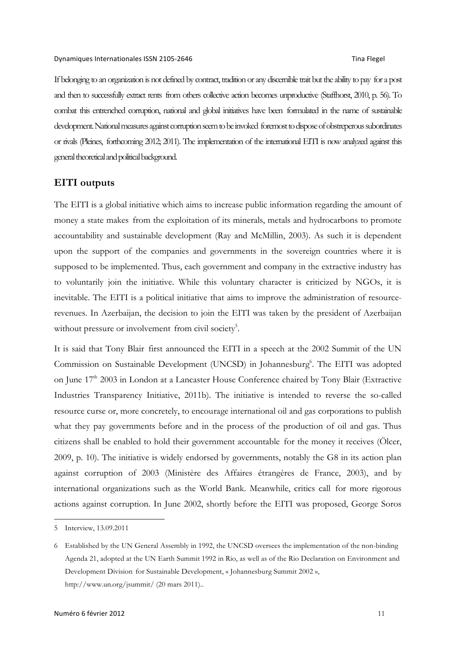If belonging to an organization is not defined by contract, tradition or any discernible trait but the ability to pay for a post and then to successfully extract rents from others collective action becomes unproductive (Staffhorst, 2010, p. 56). To combat this entrenched corruption, national and global initiatives have been formulated in the name of sustainable development. National measures against corruption seem to be invoked foremost to dispose of obstreperous subordinates or rivals (Pleines, forthcoming 2012; 2011). The implementation of the international EITI is now analyzed against this general theoretical and political background.

## **EITI outputs**

The EITI is a global initiative which aims to increase public information regarding the amount of money a state makes from the exploitation of its minerals, metals and hydrocarbons to promote accountability and sustainable development (Ray and McMillin, 2003). As such it is dependent upon the support of the companies and governments in the sovereign countries where it is supposed to be implemented. Thus, each government and company in the extractive industry has to voluntarily join the initiative. While this voluntary character is criticized by NGOs, it is inevitable. The EITI is a political initiative that aims to improve the administration of resourcerevenues. In Azerbaijan, the decision to join the EITI was taken by the president of Azerbaijan without pressure or involvement from civil society<sup>5</sup>.

It is said that Tony Blair first announced the EITI in a speech at the 2002 Summit of the UN Commission on Sustainable Development (UNCSD) in Johannesburg<sup>6</sup>. The EITI was adopted on June 17<sup>th</sup> 2003 in London at a Lancaster House Conference chaired by Tony Blair (Extractive Industries Transparency Initiative, 2011b). The initiative is intended to reverse the so-called resource curse or, more concretely, to encourage international oil and gas corporations to publish what they pay governments before and in the process of the production of oil and gas. Thus citizens shall be enabled to hold their government accountable for the money it receives (Ölcer, 2009, p. 10). The initiative is widely endorsed by governments, notably the G8 in its action plan against corruption of 2003 (Ministère des Affaires étrangères de France, 2003), and by international organizations such as the World Bank. Meanwhile, critics call for more rigorous actions against corruption. In June 2002, shortly before the EITI was proposed, George Soros

 <sup>5</sup> Interview, 13.09.2011

<sup>6</sup> Established by the UN General Assembly in 1992, the UNCSD oversees the implementation of the non-binding Agenda 21, adopted at the UN Earth Summit 1992 in Rio, as well as of the Rio Declaration on Environment and Development Division for Sustainable Development, « Johannesburg Summit 2002 », http://www.un.org/jsummit/ (20 mars 2011)..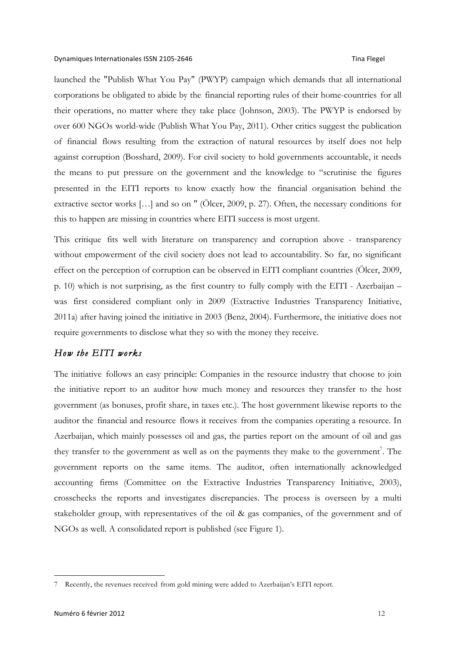launched the "Publish What You Pay" (PWYP) campaign which demands that all international corporations be obligated to abide by the financial reporting rules of their home-countries for all their operations, no matter where they take place (Johnson, 2003). The PWYP is endorsed by over 600 NGOs world-wide (Publish What You Pay, 2011). Other critics suggest the publication of financial flows resulting from the extraction of natural resources by itself does not help against corruption (Bosshard, 2009). For civil society to hold governments accountable, it needs the means to put pressure on the government and the knowledge to "scrutinise the figures presented in the EITI reports to know exactly how the financial organisation behind the extractive sector works […] and so on " (Ölcer, 2009, p. 27). Often, the necessary conditions for this to happen are missing in countries where EITI success is most urgent.

This critique fits well with literature on transparency and corruption above - transparency without empowerment of the civil society does not lead to accountability. So far, no significant effect on the perception of corruption can be observed in EITI compliant countries (Ölcer, 2009, p. 10) which is not surprising, as the first country to fully comply with the EITI - Azerbaijan – was first considered compliant only in 2009 (Extractive Industries Transparency Initiative, 2011a) after having joined the initiative in 2003 (Benz, 2004). Furthermore, the initiative does not require governments to disclose what they so with the money they receive.

# *How the EITI works*

The initiative follows an easy principle: Companies in the resource industry that choose to join the initiative report to an auditor how much money and resources they transfer to the host government (as bonuses, profit share, in taxes etc.). The host government likewise reports to the auditor the financial and resource flows it receives from the companies operating a resource. In Azerbaijan, which mainly possesses oil and gas, the parties report on the amount of oil and gas they transfer to the government as well as on the payments they make to the government<sup>7</sup>. The government reports on the same items. The auditor, often internationally acknowledged accounting firms (Committee on the Extractive Industries Transparency Initiative, 2003), crosschecks the reports and investigates discrepancies. The process is overseen by a multi stakeholder group, with representatives of the oil & gas companies, of the government and of NGOs as well. A consolidated report is published (see Figure 1).

 <sup>7</sup> Recently, the revenues received from gold mining were added to Azerbaijan's EITI report.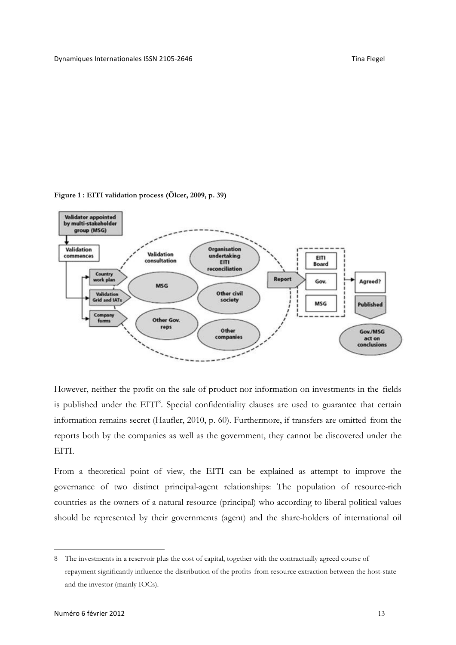

**Figure 1 : EITI validation process (Ölcer, 2009, p. 39)**

However, neither the profit on the sale of product nor information on investments in the fields is published under the EITI<sup>8</sup>. Special confidentiality clauses are used to guarantee that certain information remains secret (Haufler, 2010, p. 60). Furthermore, if transfers are omitted from the reports both by the companies as well as the government, they cannot be discovered under the EITI.

From a theoretical point of view, the EITI can be explained as attempt to improve the governance of two distinct principal-agent relationships: The population of resource-rich countries as the owners of a natural resource (principal) who according to liberal political values should be represented by their governments (agent) and the share-holders of international oil

 $\overline{a}$ 

<sup>8</sup> The investments in a reservoir plus the cost of capital, together with the contractually agreed course of repayment significantly influence the distribution of the profits from resource extraction between the host-state and the investor (mainly IOCs).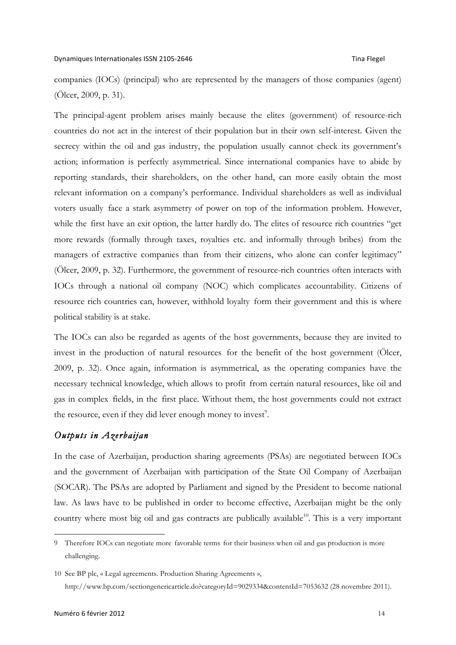companies (IOCs) (principal) who are represented by the managers of those companies (agent) (Ölcer, 2009, p. 31).

The principal-agent problem arises mainly because the elites (government) of resource-rich countries do not act in the interest of their population but in their own self-interest. Given the secrecy within the oil and gas industry, the population usually cannot check its government's action; information is perfectly asymmetrical. Since international companies have to abide by reporting standards, their shareholders, on the other hand, can more easily obtain the most relevant information on a company's performance. Individual shareholders as well as individual voters usually face a stark asymmetry of power on top of the information problem. However, while the first have an exit option, the latter hardly do. The elites of resource rich countries "get more rewards (formally through taxes, royalties etc. and informally through bribes) from the managers of extractive companies than from their citizens, who alone can confer legitimacy" (Ölcer, 2009, p. 32). Furthermore, the government of resource-rich countries often interacts with IOCs through a national oil company (NOC) which complicates accountability. Citizens of resource rich countries can, however, withhold loyalty form their government and this is where political stability is at stake.

The IOCs can also be regarded as agents of the host governments, because they are invited to invest in the production of natural resources for the benefit of the host government (Ölcer, 2009, p. 32). Once again, information is asymmetrical, as the operating companies have the necessary technical knowledge, which allows to profit from certain natural resources, like oil and gas in complex fields, in the first place. Without them, the host governments could not extract the resource, even if they did lever enough money to invest $\degree$ .

# *Outputs in Azerbaijan*

In the case of Azerbaijan, production sharing agreements (PSAs) are negotiated between IOCs and the government of Azerbaijan with participation of the State Oil Company of Azerbaijan (SOCAR). The PSAs are adopted by Parliament and signed by the President to become national law. As laws have to be published in order to become effective, Azerbaijan might be the only country where most big oil and gas contracts are publically available<sup>10</sup>. This is a very important

 <sup>9</sup> Therefore IOCs can negotiate more favorable terms for their business when oil and gas production is more challenging.

<sup>10</sup> See BP plc, « Legal agreements. Production Sharing Agreements », http://www.bp.com/sectiongenericarticle.do?categoryId=9029334&contentId=7053632 (28 novembre 2011).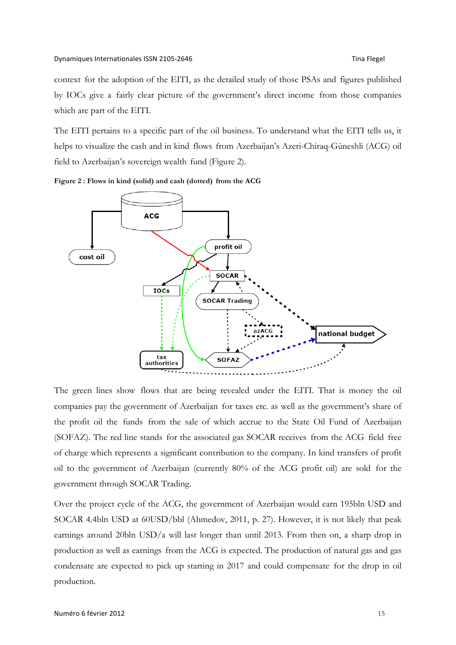context for the adoption of the EITI, as the detailed study of those PSAs and figures published by IOCs give a fairly clear picture of the government's direct income from those companies which are part of the EITI.

The EITI pertains to a specific part of the oil business. To understand what the EITI tells us, it helps to visualize the cash and in kind flows from Azerbaijan's Azeri-Chiraq-Güneshli (ACG) oil field to Azerbaijan's sovereign wealth fund (Figure 2).





The green lines show flows that are being revealed under the EITI. That is money the oil companies pay the government of Azerbaijan for taxes etc. as well as the government's share of the profit oil the funds from the sale of which accrue to the State Oil Fund of Azerbaijan (SOFAZ). The red line stands for the associated gas SOCAR receives from the ACG field free of charge which represents a significant contribution to the company. In kind transfers of profit oil to the government of Azerbaijan (currently 80% of the ACG profit oil) are sold for the government through SOCAR Trading.

Over the project cycle of the ACG, the government of Azerbaijan would earn 195bln USD and SOCAR 4.4bln USD at 60USD/bbl (Ahmedov, 2011, p. 27). However, it is not likely that peak earnings around 20bln USD/a will last longer than until 2013. From then on, a sharp drop in production as well as earnings from the ACG is expected. The production of natural gas and gas condensate are expected to pick up starting in 2017 and could compensate for the drop in oil production.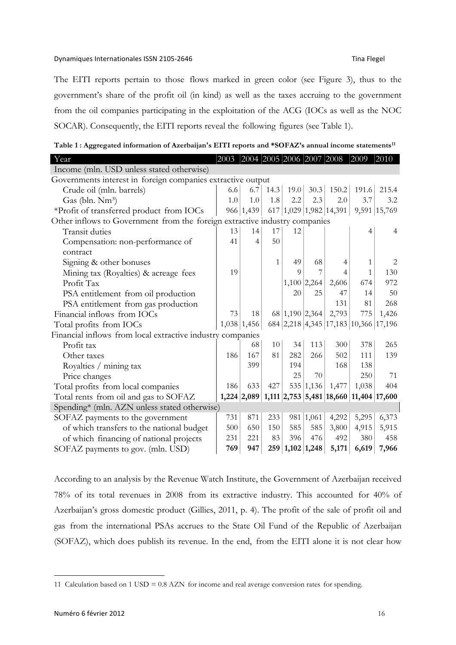### Dynamiques Internationales ISSN 2105-2646 Tina+Flegel

The EITI reports pertain to those flows marked in green color (see Figure 3), thus to the government's share of the profit oil (in kind) as well as the taxes accruing to the government from the oil companies participating in the exploitation of the ACG (IOCs as well as the NOC SOCAR). Consequently, the EITI reports reveal the following figures (see Table 1).

**Table 1 : Aggregated information of Azerbaijan's EITI reports and \*SOFAZ's annual income statements11**

| Year                                                                       | 2003 2004 2005 2006 2007 2008 |                   |      |          |                 |                                                  | 2009  | 2010           |
|----------------------------------------------------------------------------|-------------------------------|-------------------|------|----------|-----------------|--------------------------------------------------|-------|----------------|
| Income (mln. USD unless stated otherwise)                                  |                               |                   |      |          |                 |                                                  |       |                |
| Governments interest in foreign companies extractive output                |                               |                   |      |          |                 |                                                  |       |                |
| Crude oil (mln. barrels)                                                   | 6.6                           | 6.7               | 14.3 | 19.0     | 30.3            | 150.2                                            | 191.6 | 215.4          |
| Gas (bln. Nm <sup>3</sup> )                                                | 1.0                           | 1.0               | 1.8  | 2.2      | 2.3             | 2.0                                              | 3.7   | 3.2            |
| *Profit of transferred product from IOCs                                   |                               | 966 1,439         |      |          |                 | 617 1,029 1,982 14,391                           |       | 9,591 15,769   |
| Other inflows to Government from the foreign extractive industry companies |                               |                   |      |          |                 |                                                  |       |                |
| Transit duties                                                             | 13                            | 14                | 17   | 12       |                 |                                                  | 4     | $\overline{4}$ |
| Compensation: non-performance of                                           | 41                            | $\overline{4}$    | 50   |          |                 |                                                  |       |                |
| contract                                                                   |                               |                   |      |          |                 |                                                  |       |                |
| Signing & other bonuses                                                    |                               |                   | 1    | 49       | 68              | 4                                                | 1     | 2              |
| Mining tax (Royalties) & acreage fees                                      | 19                            |                   |      | $\Omega$ |                 | 4                                                | 1     | 130            |
| Profit Tax                                                                 |                               |                   |      |          | $1,100$ 2,264   | 2,606                                            | 674   | 972            |
| PSA entitlement from oil production                                        |                               |                   |      | 20       | 25              | 47                                               | 14    | 50             |
| PSA entitlement from gas production                                        |                               |                   |      |          |                 | 131                                              | 81    | 268            |
| Financial inflows from IOCs                                                | 73                            | 18                |      |          | 68 1,190 2,364  | 2,793                                            | 775   | 1,426          |
| Total profits from IOCs                                                    |                               | $1,038$   1,456   |      |          |                 | 684 2,218 4,345 17,183 10,366 17,196             |       |                |
| Financial inflows from local extractive industry companies                 |                               |                   |      |          |                 |                                                  |       |                |
| Profit tax                                                                 |                               | 68                | 10   | 34       | 113             | 300                                              | 378   | 265            |
| Other taxes                                                                | 186                           | 167               | 81   | 282      | 266             | 502                                              | 111   | 139            |
| Royalties / mining tax                                                     |                               | 399               |      | 194      |                 | 168                                              | 138   |                |
| Price changes                                                              |                               |                   |      | 25       | 70              |                                                  | 250   | 71             |
| Total profits from local companies                                         | 186                           | 633               | 427  |          | 535 1,136       | 1,477                                            | 1,038 | 404            |
| Total rents from oil and gas to SOFAZ                                      |                               | $1,224$   $2,089$ |      |          |                 | 1,111   2,753   5,481   18,660   11,404   17,600 |       |                |
| Spending* (mln. AZN unless stated otherwise)                               |                               |                   |      |          |                 |                                                  |       |                |
| SOFAZ payments to the government                                           | 731                           | 871               | 233  |          | 981 1,061       | 4,292                                            | 5,295 | 6,373          |
| of which transfers to the national budget                                  | 500                           | 650               | 150  | 585      | 585             | 3,800                                            | 4,915 | 5,915          |
| of which financing of national projects                                    | 231                           | 221               | 83   | 396      | 476             | 492                                              | 380   | 458            |
| SOFAZ payments to gov. (mln. USD)                                          | 769                           | 947               |      |          | 259 1,102 1,248 | 5,171                                            | 6,619 | 7,966          |

According to an analysis by the Revenue Watch Institute, the Government of Azerbaijan received 78% of its total revenues in 2008 from its extractive industry. This accounted for 40% of Azerbaijan's gross domestic product (Gillies, 2011, p. 4). The profit of the sale of profit oil and gas from the international PSAs accrues to the State Oil Fund of the Republic of Azerbaijan (SOFAZ), which does publish its revenue. In the end, from the EITI alone it is not clear how

 <sup>11</sup> Calculation based on 1 USD = 0.8 AZN for income and real average conversion rates for spending.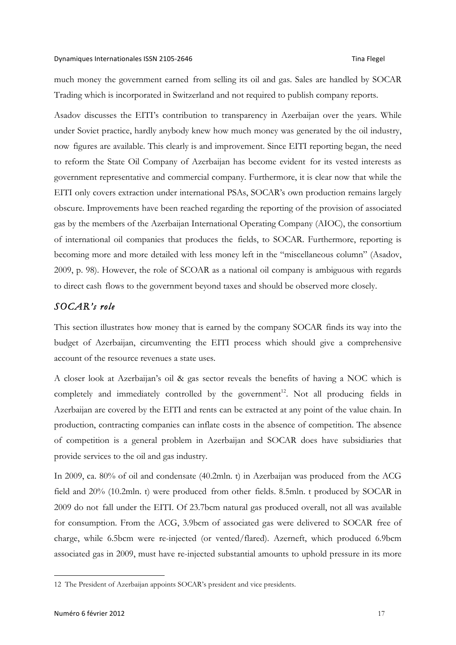much money the government earned from selling its oil and gas. Sales are handled by SOCAR Trading which is incorporated in Switzerland and not required to publish company reports.

Asadov discusses the EITI's contribution to transparency in Azerbaijan over the years. While under Soviet practice, hardly anybody knew how much money was generated by the oil industry, now figures are available. This clearly is and improvement. Since EITI reporting began, the need to reform the State Oil Company of Azerbaijan has become evident for its vested interests as government representative and commercial company. Furthermore, it is clear now that while the EITI only covers extraction under international PSAs, SOCAR's own production remains largely obscure. Improvements have been reached regarding the reporting of the provision of associated gas by the members of the Azerbaijan International Operating Company (AIOC), the consortium of international oil companies that produces the fields, to SOCAR. Furthermore, reporting is becoming more and more detailed with less money left in the "miscellaneous column" (Asadov, 2009, p. 98). However, the role of SCOAR as a national oil company is ambiguous with regards to direct cash flows to the government beyond taxes and should be observed more closely.

# *SOCAR's role*

This section illustrates how money that is earned by the company SOCAR finds its way into the budget of Azerbaijan, circumventing the EITI process which should give a comprehensive account of the resource revenues a state uses.

A closer look at Azerbaijan's oil & gas sector reveals the benefits of having a NOC which is completely and immediately controlled by the government<sup>12</sup>. Not all producing fields in Azerbaijan are covered by the EITI and rents can be extracted at any point of the value chain. In production, contracting companies can inflate costs in the absence of competition. The absence of competition is a general problem in Azerbaijan and SOCAR does have subsidiaries that provide services to the oil and gas industry.

In 2009, ca. 80% of oil and condensate (40.2mln. t) in Azerbaijan was produced from the ACG field and 20% (10.2mln. t) were produced from other fields. 8.5mln. t produced by SOCAR in 2009 do not fall under the EITI. Of 23.7bcm natural gas produced overall, not all was available for consumption. From the ACG, 3.9bcm of associated gas were delivered to SOCAR free of charge, while 6.5bcm were re-injected (or vented/flared). Azerneft, which produced 6.9bcm associated gas in 2009, must have re-injected substantial amounts to uphold pressure in its more

 <sup>12</sup> The President of Azerbaijan appoints SOCAR's president and vice presidents.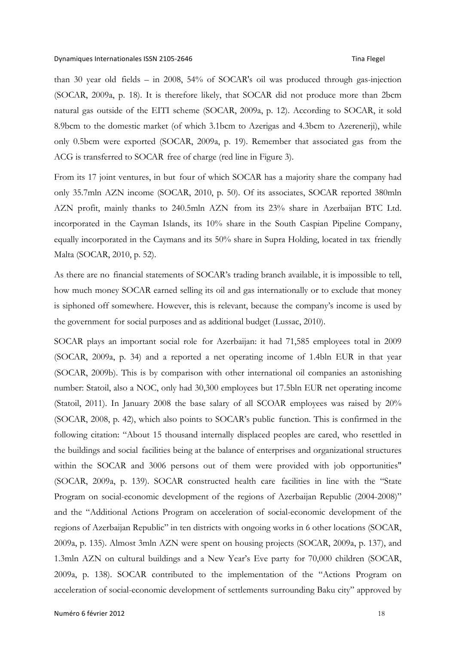than 30 year old fields – in 2008, 54% of SOCAR's oil was produced through gas-injection (SOCAR, 2009a, p. 18). It is therefore likely, that SOCAR did not produce more than 2bcm natural gas outside of the EITI scheme (SOCAR, 2009a, p. 12). According to SOCAR, it sold 8.9bcm to the domestic market (of which 3.1bcm to Azerigas and 4.3bcm to Azerenerji), while only 0.5bcm were exported (SOCAR, 2009a, p. 19). Remember that associated gas from the ACG is transferred to SOCAR free of charge (red line in Figure 3).

From its 17 joint ventures, in but four of which SOCAR has a majority share the company had only 35.7mln AZN income (SOCAR, 2010, p. 50). Of its associates, SOCAR reported 380mln AZN profit, mainly thanks to 240.5mln AZN from its 23% share in Azerbaijan BTC Ltd. incorporated in the Cayman Islands, its 10% share in the South Caspian Pipeline Company, equally incorporated in the Caymans and its 50% share in Supra Holding, located in tax friendly Malta (SOCAR, 2010, p. 52).

As there are no financial statements of SOCAR's trading branch available, it is impossible to tell, how much money SOCAR earned selling its oil and gas internationally or to exclude that money is siphoned off somewhere. However, this is relevant, because the company's income is used by the government for social purposes and as additional budget (Lussac, 2010).

SOCAR plays an important social role for Azerbaijan: it had 71,585 employees total in 2009 (SOCAR, 2009a, p. 34) and a reported a net operating income of 1.4bln EUR in that year (SOCAR, 2009b). This is by comparison with other international oil companies an astonishing number: Statoil, also a NOC, only had 30,300 employees but 17.5bln EUR net operating income (Statoil, 2011). In January 2008 the base salary of all SCOAR employees was raised by 20% (SOCAR, 2008, p. 42), which also points to SOCAR's public function. This is confirmed in the following citation: "About 15 thousand internally displaced peoples are cared, who resettled in the buildings and social facilities being at the balance of enterprises and organizational structures within the SOCAR and 3006 persons out of them were provided with job opportunities" (SOCAR, 2009a, p. 139). SOCAR constructed health care facilities in line with the "State Program on social-economic development of the regions of Azerbaijan Republic (2004-2008)" and the "Additional Actions Program on acceleration of social-economic development of the regions of Azerbaijan Republic" in ten districts with ongoing works in 6 other locations (SOCAR, 2009a, p. 135). Almost 3mln AZN were spent on housing projects (SOCAR, 2009a, p. 137), and 1.3mln AZN on cultural buildings and a New Year's Eve party for 70,000 children (SOCAR, 2009a, p. 138). SOCAR contributed to the implementation of the "Actions Program on acceleration of social-economic development of settlements surrounding Baku city" approved by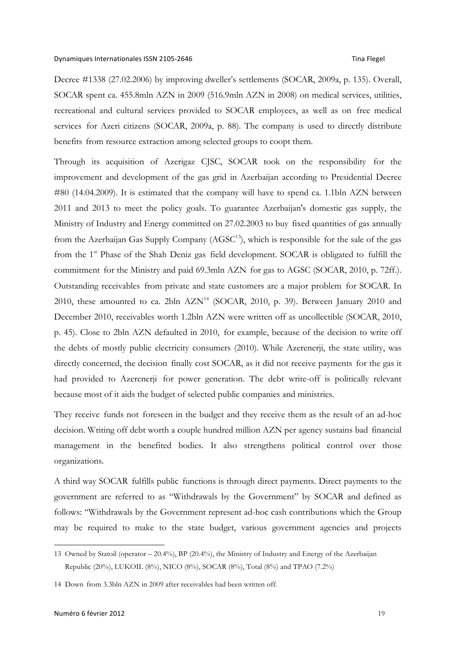Decree #1338 (27.02.2006) by improving dweller's settlements (SOCAR, 2009a, p. 135). Overall, SOCAR spent ca. 455.8mln AZN in 2009 (516.9mln AZN in 2008) on medical services, utilities, recreational and cultural services provided to SOCAR employees, as well as on free medical services for Azeri citizens (SOCAR, 2009a, p. 88). The company is used to directly distribute benefits from resource extraction among selected groups to coopt them.

Through its acquisition of Azerigaz CJSC, SOCAR took on the responsibility for the improvement and development of the gas grid in Azerbaijan according to Presidential Decree #80 (14.04.2009). It is estimated that the company will have to spend ca. 1.1bln AZN between 2011 and 2013 to meet the policy goals. To guarantee Azerbaijan's domestic gas supply, the Ministry of Industry and Energy committed on 27.02.2003 to buy fixed quantities of gas annually from the Azerbaijan Gas Supply Company  $(AGSC<sup>13</sup>)$ , which is responsible for the sale of the gas from the 1<sup>st</sup> Phase of the Shah Deniz gas field development. SOCAR is obligated to fulfill the commitment for the Ministry and paid 69.3mln AZN for gas to AGSC (SOCAR, 2010, p. 72ff.). Outstanding receivables from private and state customers are a major problem for SOCAR. In 2010, these amounted to ca. 2bln  $AZN<sup>14</sup>$  (SOCAR, 2010, p. 39). Between January 2010 and December 2010, receivables worth 1.2bln AZN were written off as uncollectible (SOCAR, 2010, p. 45). Close to 2bln AZN defaulted in 2010, for example, because of the decision to write off the debts of mostly public electricity consumers (2010). While Azerenerji, the state utility, was directly concerned, the decision finally cost SOCAR, as it did not receive payments for the gas it had provided to Azerenerji for power generation. The debt write-off is politically relevant because most of it aids the budget of selected public companies and ministries.

They receive funds not foreseen in the budget and they receive them as the result of an ad-hoc decision. Writing off debt worth a couple hundred million AZN per agency sustains bad financial management in the benefited bodies. It also strengthens political control over those organizations.

A third way SOCAR fulfills public functions is through direct payments. Direct payments to the government are referred to as "Withdrawals by the Government" by SOCAR and defined as follows: "Withdrawals by the Government represent ad-hoc cash contributions which the Group may be required to make to the state budget, various government agencies and projects

 $\overline{a}$ 

<sup>13</sup> Owned by Statoil (operator – 20.4%), BP (20.4%), the Ministry of Industry and Energy of the Azerbaijan Republic (20%), LUKOIL (8%), NICO (8%), SOCAR (8%), Total (8%) and TPAO (7.2%)

<sup>14</sup> Down from 3.3bln AZN in 2009 after receivables had been written off.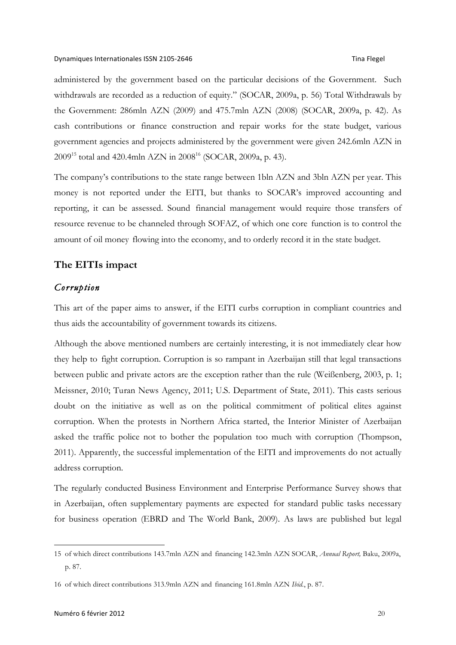administered by the government based on the particular decisions of the Government. Such withdrawals are recorded as a reduction of equity." (SOCAR, 2009a, p. 56) Total Withdrawals by the Government: 286mln AZN (2009) and 475.7mln AZN (2008) (SOCAR, 2009a, p. 42). As cash contributions or finance construction and repair works for the state budget, various government agencies and projects administered by the government were given 242.6mln AZN in 2009<sup>15</sup> total and 420.4mln AZN in 2008<sup>16</sup> (SOCAR, 2009a, p. 43).

The company's contributions to the state range between 1bln AZN and 3bln AZN per year. This money is not reported under the EITI, but thanks to SOCAR's improved accounting and reporting, it can be assessed. Sound financial management would require those transfers of resource revenue to be channeled through SOFAZ, of which one core function is to control the amount of oil money flowing into the economy, and to orderly record it in the state budget.

# **The EITIs impact**

# *Corruption*

This art of the paper aims to answer, if the EITI curbs corruption in compliant countries and thus aids the accountability of government towards its citizens.

Although the above mentioned numbers are certainly interesting, it is not immediately clear how they help to fight corruption. Corruption is so rampant in Azerbaijan still that legal transactions between public and private actors are the exception rather than the rule (Weißenberg, 2003, p. 1; Meissner, 2010; Turan News Agency, 2011; U.S. Department of State, 2011). This casts serious doubt on the initiative as well as on the political commitment of political elites against corruption. When the protests in Northern Africa started, the Interior Minister of Azerbaijan asked the traffic police not to bother the population too much with corruption (Thompson, 2011). Apparently, the successful implementation of the EITI and improvements do not actually address corruption.

The regularly conducted Business Environment and Enterprise Performance Survey shows that in Azerbaijan, often supplementary payments are expected for standard public tasks necessary for business operation (EBRD and The World Bank, 2009). As laws are published but legal

 $\overline{a}$ 

<sup>15</sup> of which direct contributions 143.7mln AZN and financing 142.3mln AZN SOCAR, *Annual Report,* Baku, 2009a, p. 87.

<sup>16</sup> of which direct contributions 313.9mln AZN and financing 161.8mln AZN *Ibid.*, p. 87.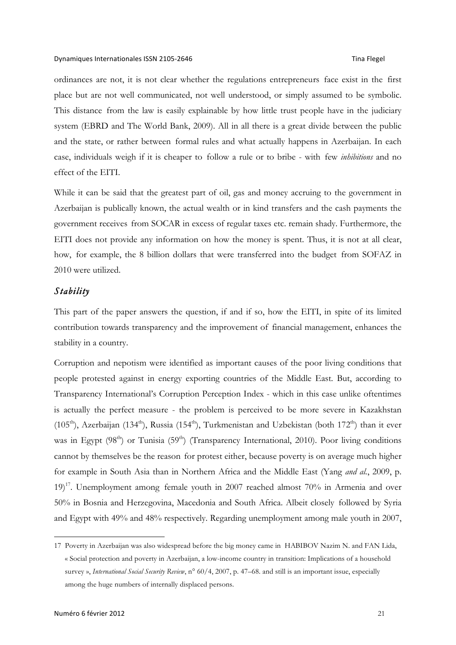ordinances are not, it is not clear whether the regulations entrepreneurs face exist in the first place but are not well communicated, not well understood, or simply assumed to be symbolic. This distance from the law is easily explainable by how little trust people have in the judiciary system (EBRD and The World Bank, 2009). All in all there is a great divide between the public and the state, or rather between formal rules and what actually happens in Azerbaijan. In each case, individuals weigh if it is cheaper to follow a rule or to bribe - with few *inhibitions* and no effect of the EITI.

While it can be said that the greatest part of oil, gas and money accruing to the government in Azerbaijan is publically known, the actual wealth or in kind transfers and the cash payments the government receives from SOCAR in excess of regular taxes etc. remain shady. Furthermore, the EITI does not provide any information on how the money is spent. Thus, it is not at all clear, how, for example, the 8 billion dollars that were transferred into the budget from SOFAZ in 2010 were utilized.

## *Stability*

This part of the paper answers the question, if and if so, how the EITI, in spite of its limited contribution towards transparency and the improvement of financial management, enhances the stability in a country.

Corruption and nepotism were identified as important causes of the poor living conditions that people protested against in energy exporting countries of the Middle East. But, according to Transparency International's Corruption Perception Index - which in this case unlike oftentimes is actually the perfect measure - the problem is perceived to be more severe in Kazakhstan (105<sup>th</sup>), Azerbaijan (134<sup>th</sup>), Russia (154<sup>th</sup>), Turkmenistan and Uzbekistan (both 172<sup>th</sup>) than it ever was in Egypt (98<sup>th</sup>) or Tunisia (59<sup>th</sup>) (Transparency International, 2010). Poor living conditions cannot by themselves be the reason for protest either, because poverty is on average much higher for example in South Asia than in Northern Africa and the Middle East (Yang *and al.*, 2009, p.  $19)$ <sup>17</sup>. Unemployment among female youth in 2007 reached almost 70% in Armenia and over 50% in Bosnia and Herzegovina, Macedonia and South Africa. Albeit closely followed by Syria and Egypt with 49% and 48% respectively. Regarding unemployment among male youth in 2007,

 <sup>17</sup> Poverty in Azerbaijan was also widespread before the big money came in HABIBOV Nazim N. and FAN Lida, « Social protection and poverty in Azerbaijan, a low-income country in transition: Implications of a household survey », *International Social Security Review*, n° 60/4, 2007, p. 47–68. and still is an important issue, especially among the huge numbers of internally displaced persons.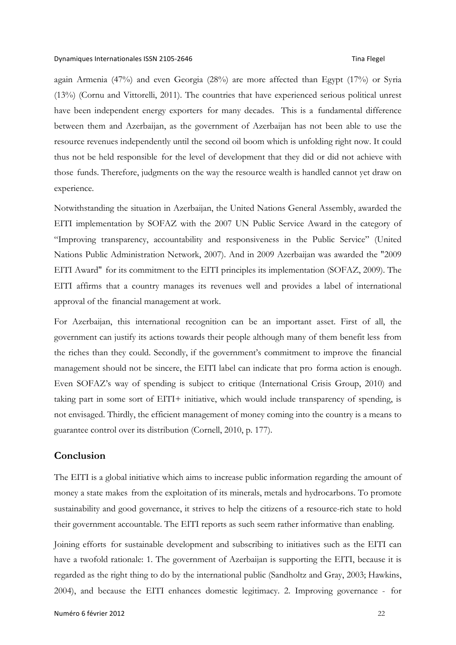again Armenia (47%) and even Georgia (28%) are more affected than Egypt (17%) or Syria (13%) (Cornu and Vittorelli, 2011). The countries that have experienced serious political unrest have been independent energy exporters for many decades. This is a fundamental difference between them and Azerbaijan, as the government of Azerbaijan has not been able to use the resource revenues independently until the second oil boom which is unfolding right now. It could thus not be held responsible for the level of development that they did or did not achieve with those funds. Therefore, judgments on the way the resource wealth is handled cannot yet draw on experience.

Notwithstanding the situation in Azerbaijan, the United Nations General Assembly, awarded the EITI implementation by SOFAZ with the 2007 UN Public Service Award in the category of "Improving transparency, accountability and responsiveness in the Public Service" (United Nations Public Administration Network, 2007). And in 2009 Azerbaijan was awarded the "2009 EITI Award" for its commitment to the EITI principles its implementation (SOFAZ, 2009). The EITI affirms that a country manages its revenues well and provides a label of international approval of the financial management at work.

For Azerbaijan, this international recognition can be an important asset. First of all, the government can justify its actions towards their people although many of them benefit less from the riches than they could. Secondly, if the government's commitment to improve the financial management should not be sincere, the EITI label can indicate that pro forma action is enough. Even SOFAZ's way of spending is subject to critique (International Crisis Group, 2010) and taking part in some sort of EITI+ initiative, which would include transparency of spending, is not envisaged. Thirdly, the efficient management of money coming into the country is a means to guarantee control over its distribution (Cornell, 2010, p. 177).

### **Conclusion**

The EITI is a global initiative which aims to increase public information regarding the amount of money a state makes from the exploitation of its minerals, metals and hydrocarbons. To promote sustainability and good governance, it strives to help the citizens of a resource-rich state to hold their government accountable. The EITI reports as such seem rather informative than enabling.

Joining efforts for sustainable development and subscribing to initiatives such as the EITI can have a twofold rationale: 1. The government of Azerbaijan is supporting the EITI, because it is regarded as the right thing to do by the international public (Sandholtz and Gray, 2003; Hawkins, 2004), and because the EITI enhances domestic legitimacy. 2. Improving governance - for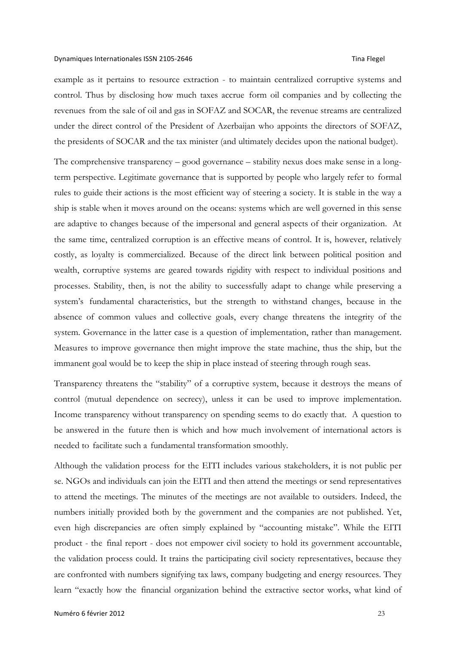example as it pertains to resource extraction - to maintain centralized corruptive systems and control. Thus by disclosing how much taxes accrue form oil companies and by collecting the revenues from the sale of oil and gas in SOFAZ and SOCAR, the revenue streams are centralized under the direct control of the President of Azerbaijan who appoints the directors of SOFAZ, the presidents of SOCAR and the tax minister (and ultimately decides upon the national budget).

The comprehensive transparency – good governance – stability nexus does make sense in a longterm perspective. Legitimate governance that is supported by people who largely refer to formal rules to guide their actions is the most efficient way of steering a society. It is stable in the way a ship is stable when it moves around on the oceans: systems which are well governed in this sense are adaptive to changes because of the impersonal and general aspects of their organization. At the same time, centralized corruption is an effective means of control. It is, however, relatively costly, as loyalty is commercialized. Because of the direct link between political position and wealth, corruptive systems are geared towards rigidity with respect to individual positions and processes. Stability, then, is not the ability to successfully adapt to change while preserving a system's fundamental characteristics, but the strength to withstand changes, because in the absence of common values and collective goals, every change threatens the integrity of the system. Governance in the latter case is a question of implementation, rather than management. Measures to improve governance then might improve the state machine, thus the ship, but the immanent goal would be to keep the ship in place instead of steering through rough seas.

Transparency threatens the "stability" of a corruptive system, because it destroys the means of control (mutual dependence on secrecy), unless it can be used to improve implementation. Income transparency without transparency on spending seems to do exactly that. A question to be answered in the future then is which and how much involvement of international actors is needed to facilitate such a fundamental transformation smoothly.

Although the validation process for the EITI includes various stakeholders, it is not public per se. NGOs and individuals can join the EITI and then attend the meetings or send representatives to attend the meetings. The minutes of the meetings are not available to outsiders. Indeed, the numbers initially provided both by the government and the companies are not published. Yet, even high discrepancies are often simply explained by "accounting mistake". While the EITI product - the final report - does not empower civil society to hold its government accountable, the validation process could. It trains the participating civil society representatives, because they are confronted with numbers signifying tax laws, company budgeting and energy resources. They learn "exactly how the financial organization behind the extractive sector works, what kind of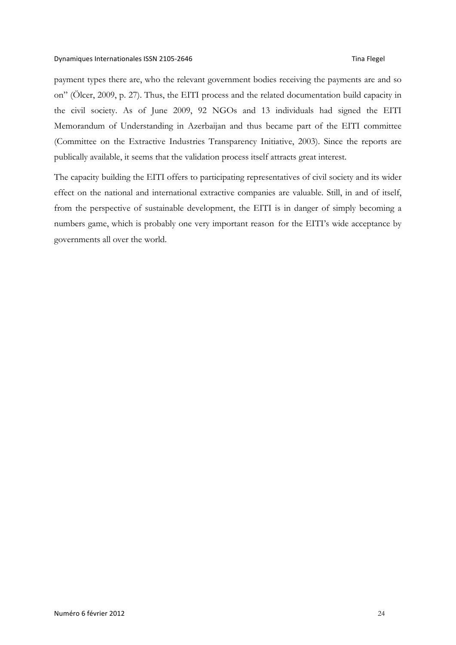payment types there are, who the relevant government bodies receiving the payments are and so on" (Ölcer, 2009, p. 27). Thus, the EITI process and the related documentation build capacity in the civil society. As of June 2009, 92 NGOs and 13 individuals had signed the EITI Memorandum of Understanding in Azerbaijan and thus became part of the EITI committee (Committee on the Extractive Industries Transparency Initiative, 2003). Since the reports are publically available, it seems that the validation process itself attracts great interest.

The capacity building the EITI offers to participating representatives of civil society and its wider effect on the national and international extractive companies are valuable. Still, in and of itself, from the perspective of sustainable development, the EITI is in danger of simply becoming a numbers game, which is probably one very important reason for the EITI's wide acceptance by governments all over the world.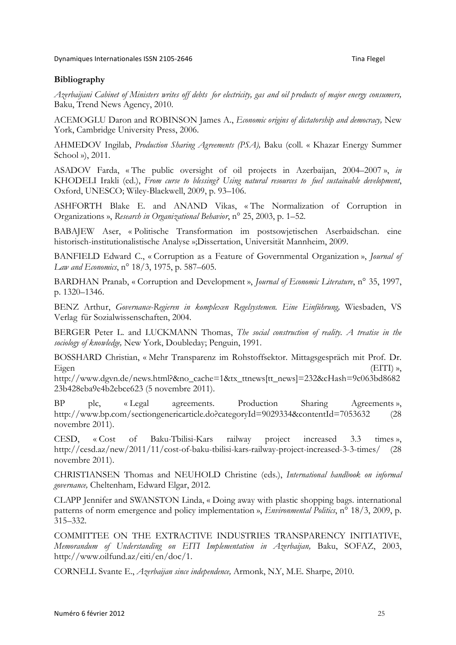### **Bibliography**

*Azerbaijani Cabinet of Ministers writes off debts for electricity, gas and oil products of major energy consumers,*  Baku, Trend News Agency, 2010.

ACEMOGLU Daron and ROBINSON James A., *Economic origins of dictatorship and democracy,* New York, Cambridge University Press, 2006.

AHMEDOV Ingilab, *Production Sharing Agreements (PSA),* Baku (coll. « Khazar Energy Summer School »), 2011.

ASADOV Farda, « The public oversight of oil projects in Azerbaijan, 2004–2007 », *in*  KHODELI Irakli (ed.), *From curse to blessing? Using natural resources to fuel sustainable development*, Oxford, UNESCO; Wiley-Blackwell, 2009, p. 93–106.

ASHFORTH Blake E. and ANAND Vikas, « The Normalization of Corruption in Organizations », *Research in Organizational Behavior*, n° 25, 2003, p. 1–52.

BABAJEW Aser, « Politische Transformation im postsowjetischen Aserbaidschan. eine historisch-institutionalistische Analyse »;Dissertation, Universität Mannheim, 2009.

BANFIELD Edward C., « Corruption as a Feature of Governmental Organization », *Journal of Law and Economics*, n° 18/3, 1975, p. 587–605.

BARDHAN Pranab, « Corruption and Development », *Journal of Economic Literature*, n° 35, 1997, p. 1320–1346.

BENZ Arthur, *Governance-Regieren in komplexen Regelsystemen. Eine Einführung,* Wiesbaden, VS Verlag für Sozialwissenschaften, 2004.

BERGER Peter L. and LUCKMANN Thomas, *The social construction of reality. A treatise in the sociology of knowledge,* New York, Doubleday; Penguin, 1991.

BOSSHARD Christian, « Mehr Transparenz im Rohstoffsektor. Mittagsgespräch mit Prof. Dr. Eigen (EITI) »,

http://www.dgvn.de/news.html?&no\_cache=1&tx\_ttnews[tt\_news]=232&cHash=9c063bd8682 23b428eba9e4b2ebce623 (5 novembre 2011).

BP plc, « Legal agreements. Production Sharing Agreements », http://www.bp.com/sectiongenericarticle.do?categoryId=9029334&contentId=7053632 (28 novembre 2011).

CESD, « Cost of Baku-Tbilisi-Kars railway project increased 3.3 times », http://cesd.az/new/2011/11/cost-of-baku-tbilisi-kars-railway-project-increased-3-3-times/ (28 novembre 2011).

CHRISTIANSEN Thomas and NEUHOLD Christine (eds.), *International handbook on informal governance,* Cheltenham, Edward Elgar, 2012.

CLAPP Jennifer and SWANSTON Linda, « Doing away with plastic shopping bags. international patterns of norm emergence and policy implementation », *Environmental Politics*, n° 18/3, 2009, p. 315–332.

COMMITTEE ON THE EXTRACTIVE INDUSTRIES TRANSPARENCY INITIATIVE, *Memorandum of Understanding on EITI Implementation in Azerbaijan,* Baku, SOFAZ, 2003, http://www.oilfund.az/eiti/en/doc/1.

CORNELL Svante E., *Azerbaijan since independence,* Armonk, N.Y, M.E. Sharpe, 2010.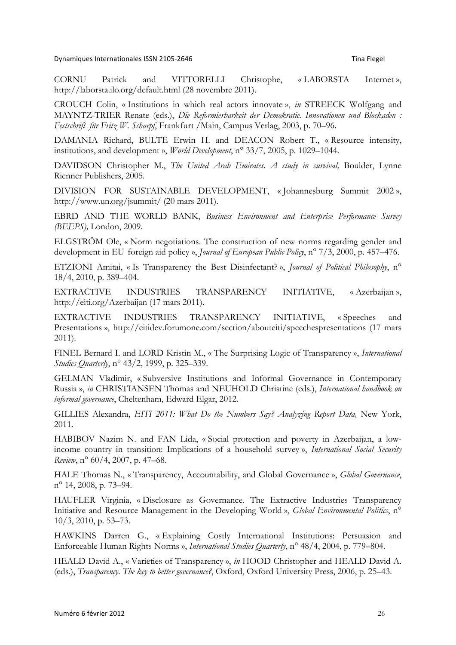Dynamiques Internationales ISSN 2105-2646 Tina+Flegel

CORNU Patrick and VITTORELLI Christophe, « LABORSTA Internet », http://laborsta.ilo.org/default.html (28 novembre 2011).

CROUCH Colin, « Institutions in which real actors innovate », *in* STREECK Wolfgang and MAYNTZ-TRIER Renate (eds.), *Die Reformierbarkeit der Demokratie. Innovationen und Blockaden : Festschrift für Fritz W. Scharpf*, Frankfurt /Main, Campus Verlag, 2003, p. 70–96.

DAMANIA Richard, BULTE Erwin H. and DEACON Robert T., « Resource intensity, institutions, and development », *World Development*, n° 33/7, 2005, p. 1029–1044.

DAVIDSON Christopher M., *The United Arab Emirates. A study in survival*, Boulder, Lynne Rienner Publishers, 2005.

DIVISION FOR SUSTAINABLE DEVELOPMENT, « Johannesburg Summit 2002 », http://www.un.org/jsummit/ (20 mars 2011).

EBRD AND THE WORLD BANK, *Business Environment and Enterprise Performance Survey (BEEPS),* London, 2009.

ELGSTRÖM Ole, « Norm negotiations. The construction of new norms regarding gender and development in EU foreign aid policy », *Journal of European Public Policy*, n° 7/3, 2000, p. 457–476.

ETZIONI Amitai, « Is Transparency the Best Disinfectant? », *Journal of Political Philosophy*, n° 18/4, 2010, p. 389–404.

EXTRACTIVE INDUSTRIES TRANSPARENCY INITIATIVE, « Azerbaijan », http://eiti.org/Azerbaijan (17 mars 2011).

EXTRACTIVE INDUSTRIES TRANSPARENCY INITIATIVE, « Speeches and Presentations », http://eitidev.forumone.com/section/abouteiti/speechespresentations (17 mars 2011).

FINEL Bernard I. and LORD Kristin M., « The Surprising Logic of Transparency », *International Studies Quarterly*, n° 43/2, 1999, p. 325–339.

GELMAN Vladimir, « Subversive Institutions and Informal Governance in Contemporary Russia », *in* CHRISTIANSEN Thomas and NEUHOLD Christine (eds.), *International handbook on informal governance*, Cheltenham, Edward Elgar, 2012.

GILLIES Alexandra, *EITI 2011: What Do the Numbers Say? Analyzing Report Data,* New York, 2011.

HABIBOV Nazim N. and FAN Lida, « Social protection and poverty in Azerbaijan, a lowincome country in transition: Implications of a household survey », *International Social Security Review*, n° 60/4, 2007, p. 47–68.

HALE Thomas N., « Transparency, Accountability, and Global Governance », *Global Governance*, n° 14, 2008, p. 73–94.

HAUFLER Virginia, « Disclosure as Governance. The Extractive Industries Transparency Initiative and Resource Management in the Developing World », *Global Environmental Politics*, n° 10/3, 2010, p. 53–73.

HAWKINS Darren G., « Explaining Costly International Institutions: Persuasion and Enforceable Human Rights Norms », *International Studies Quarterly*, n° 48/4, 2004, p. 779–804.

HEALD David A., « Varieties of Transparency », *in* HOOD Christopher and HEALD David A. (eds.), *Transparency. The key to better governance?*, Oxford, Oxford University Press, 2006, p. 25–43.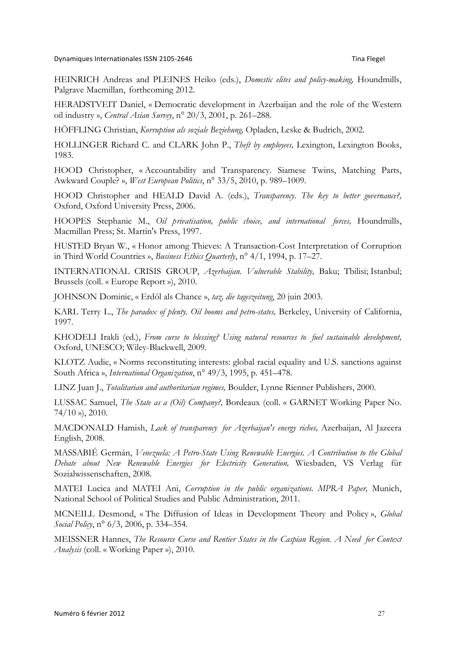HEINRICH Andreas and PLEINES Heiko (eds.), *Domestic elites and policy-making,* Houndmills, Palgrave Macmillan, forthcoming 2012.

HERADSTVEIT Daniel, « Democratic development in Azerbaijan and the role of the Western oil industry », *Central Asian Survey*, n° 20/3, 2001, p. 261–288.

HÖFFLING Christian, *Korruption als soziale Beziehung,* Opladen, Leske & Budrich, 2002.

HOLLINGER Richard C. and CLARK John P., *Theft by employees,* Lexington, Lexington Books, 1983.

HOOD Christopher, « Accountability and Transparency. Siamese Twins, Matching Parts, Awkward Couple? », *West European Politics*, n° 33/5, 2010, p. 989–1009.

HOOD Christopher and HEALD David A. (eds.), *Transparency. The key to better governance?,*  Oxford, Oxford University Press, 2006.

HOOPES Stephanie M., *Oil privatisation, public choice, and international forces,* Houndmills, Macmillan Press; St. Martin's Press, 1997.

HUSTED Bryan W., « Honor among Thieves: A Transaction-Cost Interpretation of Corruption in Third World Countries », *Business Ethics Quarterly*, n° 4/1, 1994, p. 17–27.

INTERNATIONAL CRISIS GROUP, *Azerbaijan. Vulnerable Stability,* Baku; Tbilisi; Istanbul; Brussels (coll. « Europe Report »), 2010.

JOHNSON Dominic, « Erdöl als Chance », *taz, die tageszeitung*, 20 juin 2003.

KARL Terry L., *The paradox of plenty. Oil booms and petro-states,* Berkeley, University of California, 1997.

KHODELI Irakli (ed.), *From curse to blessing? Using natural resources to fuel sustainable development,*  Oxford, UNESCO; Wiley-Blackwell, 2009.

KLOTZ Audie, « Norms reconstituting interests: global racial equality and U.S. sanctions against South Africa », *International Organization*, n° 49/3, 1995, p. 451–478.

LINZ Juan J., *Totalitarian and authoritarian regimes,* Boulder, Lynne Rienner Publishers, 2000.

LUSSAC Samuel, *The State as a (Oil) Company?,* Bordeaux (coll. « GARNET Working Paper No.  $74/10$  »), 2010.

MACDONALD Hamish, *Lack of transparency for Azerbaijan's energy riches,* Azerbaijan, Al Jazeera English, 2008.

MASSABIÉ Germán, *Venezuela: A Petro-State Using Renewable Energies. A Contribution to the Global Debate about New Renewable Energies for Electricity Generation,* Wiesbaden, VS Verlag für Sozialwissenschaften, 2008.

MATEI Lucica and MATEI Ani, *Corruption in the public organizations. MPRA Paper,* Munich, National School of Political Studies and Public Administration, 2011.

MCNEILL Desmond, « The Diffusion of Ideas in Development Theory and Policy », *Global Social Policy*, n° 6/3, 2006, p. 334–354.

MEISSNER Hannes, *The Resource Curse and Rentier States in the Caspian Region. A Need for Context Analysis* (coll. « Working Paper »), 2010.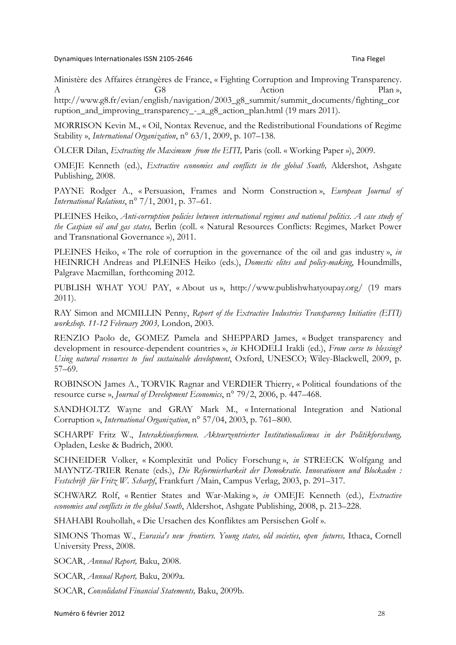Ministère des Affaires étrangères de France, « Fighting Corruption and Improving Transparency. A G8 G6 Action Plan »,

http://www.g8.fr/evian/english/navigation/2003\_g8\_summit/summit\_documents/fighting\_cor ruption\_and\_improving\_transparency\_-\_a\_g8\_action\_plan.html (19 mars 2011).

MORRISON Kevin M., « Oil, Nontax Revenue, and the Redistributional Foundations of Regime Stability », *International Organization*, n° 63/1, 2009, p. 107–138.

ÖLCER Dilan, *Extracting the Maximum from the EITI,* Paris (coll. « Working Paper »), 2009.

OMEJE Kenneth (ed.), *Extractive economies and conflicts in the global South,* Aldershot, Ashgate Publishing, 2008.

PAYNE Rodger A., « Persuasion, Frames and Norm Construction », *European Journal of International Relations*, n° 7/1, 2001, p. 37–61.

PLEINES Heiko, *Anti-corruption policies between international regimes and national politics. A case study of the Caspian oil and gas states,* Berlin (coll. « Natural Resources Conflicts: Regimes, Market Power and Transnational Governance »), 2011.

PLEINES Heiko, « The role of corruption in the governance of the oil and gas industry », *in*  HEINRICH Andreas and PLEINES Heiko (eds.), *Domestic elites and policy-making*, Houndmills, Palgrave Macmillan, forthcoming 2012.

PUBLISH WHAT YOU PAY, « About us », http://www.publishwhatyoupay.org/ (19 mars 2011).

RAY Simon and MCMILLIN Penny, *Report of the Extractive Industries Transparency Initiative (EITI) workshop. 11-12 February 2003,* London, 2003.

RENZIO Paolo de, GOMEZ Pamela and SHEPPARD James, « Budget transparency and development in resource-dependent countries », *in* KHODELI Irakli (ed.), *From curse to blessing? Using natural resources to fuel sustainable development*, Oxford, UNESCO; Wiley-Blackwell, 2009, p. 57–69.

ROBINSON James A., TORVIK Ragnar and VERDIER Thierry, « Political foundations of the resource curse », *Journal of Development Economics*, n° 79/2, 2006, p. 447–468.

SANDHOLTZ Wayne and GRAY Mark M., « International Integration and National Corruption », *International Organization*, n° 57/04, 2003, p. 761–800.

SCHARPF Fritz W., *Interaktionsformen. Akteurzentrierter Institutionalismus in der Politikforschung,*  Opladen, Leske & Budrich, 2000.

SCHNEIDER Volker, « Komplexität und Policy Forschung », *in* STREECK Wolfgang and MAYNTZ-TRIER Renate (eds.), *Die Reformierbarkeit der Demokratie. Innovationen und Blockaden : Festschrift für Fritz W. Scharpf*, Frankfurt /Main, Campus Verlag, 2003, p. 291–317.

SCHWARZ Rolf, « Rentier States and War-Making », *in* OMEJE Kenneth (ed.), *Extractive economies and conflicts in the global South*, Aldershot, Ashgate Publishing, 2008, p. 213–228.

SHAHABI Rouhollah, « Die Ursachen des Konfliktes am Persischen Golf ».

SIMONS Thomas W., *Eurasia's new frontiers. Young states, old societies, open futures,* Ithaca, Cornell University Press, 2008.

SOCAR, *Annual Report,* Baku, 2008.

SOCAR, *Annual Report,* Baku, 2009a.

SOCAR, *Consolidated Financial Statements,* Baku, 2009b.